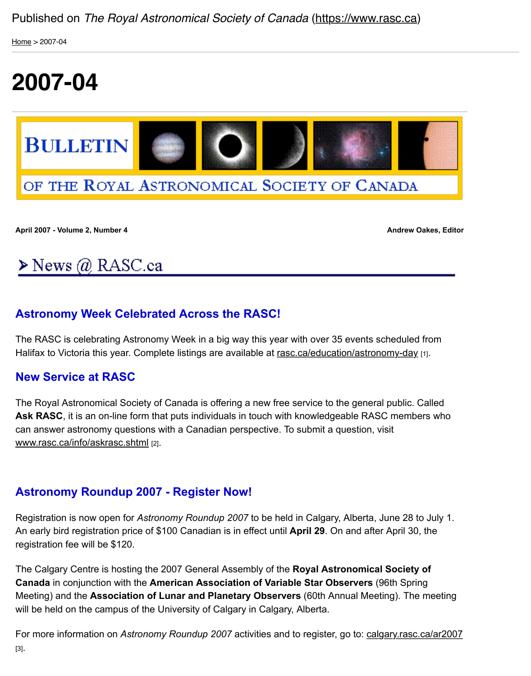

### OF THE ROYAL ASTRONOMICAL SOCIETY OF CANADA

**April 2007 - Volume 2, Number 4 Andrew Oakes, Editor**

### $\triangleright$  News @ RASC.ca

#### **Astronomy Week Celebrated Across the RASC!**

The RASC is celebrating Astronomy Week in a big way this year with over 35 events scheduled from Halifax to Victoria this year. Complete listings are available at rasc.ca/education/astronomy-day [1].

#### **New Service at RASC**

The Royal Astronomical Society of Canada is offering a new free service to the general public. Called **Ask RASC**, it is an on-line form that puts individuals in touch with knowledgeable RASC members who can answer astronomy questions with a Canadian perspective. To submit a question, visit www.rasc.ca/info/askrasc.shtml [2].

#### **Astronomy Roundup 2007 - Register Now!**

Registration is now open for *Astronomy Roundup 2007* to be held in Calgary, Alberta, June 28 to July 1. [An early bird registration price o](https://www.rasc.ca/ask-astronomer)f \$100 Canadian is in effect until **April 29**. On and after April 30, the registration fee will be \$120.

The Calgary Centre is hosting the 2007 General Assembly of the **Royal Astronomical Society of Canada** in conjunction with the **American Association of Variable Star Observers** (96th Spring Meeting) and the **Association of Lunar and Planetary Observers** (60th Annual Meeting). The meeting will be held on the campus of the University of Calgary in Calgary, Alberta.

For more information on Astronomy Roundup 2007 activities and to register, go to: calgary.rasc.ca/ar20 [3].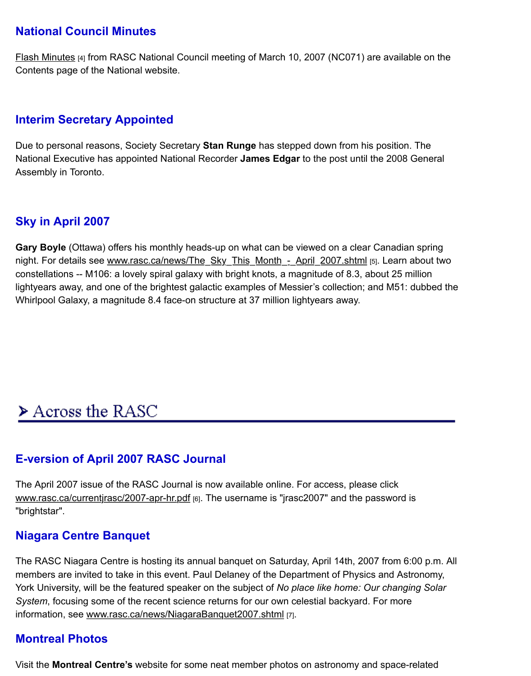### **Interim Secretary Appointed**

[Due to person](https://www.rasc.ca/news/flash-minutes-nc071)al reasons, Society Secretary **Stan Runge** has stepped down from his position. The National Executive has appointed National Recorder **James Edgar** to the post until the 2008 General Assembly in Toronto.

#### **Sky in April 2007**

**Gary Boyle** (Ottawa) offers his monthly heads-up on what can be viewed on a clear Canadian spring night. For details see www.rasc.ca/news/The\_Sky\_This\_Month\_-\_April\_2007.shtml [5]. Learn about two constellations -- M106: a lovely spiral galaxy with bright knots, a magnitude of 8.3, about 25 million lightyears away, and one of the brightest galactic examples of Messier's collection; and M51: dubbed the Whirlpool Galaxy, a magnitude 8.4 face-on structure at 37 million lightyears away.

## Across the RASC

### **E-version of April 2007 RASC Journal**

The April 2007 issue of the RASC Journal is now available online. For access, please click www.rasc.ca/currentirasc/2007-apr-hr.pdf [6]. The username is "jrasc2007" and the password is "brightstar".

#### **Niagara Centre Banquet**

The RASC Niagara Centre is hosting its annual banquet on Saturday, April 14th, 2007 from 6:00 p.m. A members are invited to take in this event. Paul Delaney of the Department of Physics and Astronomy, [York University, will be the featured speak](https://www.rasc.ca/content/jrasc-2007-april)er on the subject of *No place like home: Our changing Solar System*, focusing some of the recent science returns for our own celestial backyard. For more information, see www.rasc.ca/news/NiagaraBanquet2007.shtml [7].

#### **Montreal Photos**

Visit the **Montreal Centre's** website for some neat member photos on astronomy and space-related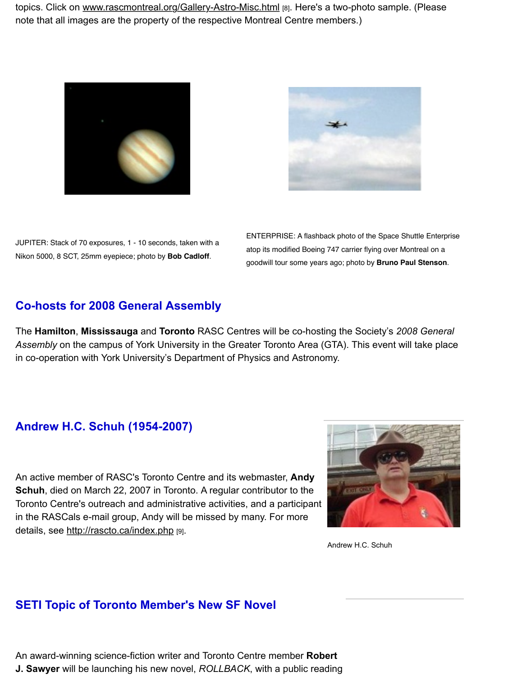



JUPITER: Stack of 70 exposures, 1 - 10 seconds, taken with a Nikon 5000, 8 SCT, 25mm eyepiece; photo by **Bob Cadloff**.

ENTERPRISE: A flashback photo of the Space Shuttle Enterpr atop its modified Boeing 747 carrier flying over Montreal on a goodwill tour some years ago; photo by **Bruno Paul Stenson**.

#### **Co-hosts for 2008 General Assembly**

The **Hamilton**, **Mississauga** and **Toronto** RASC Centres will be co-hosting the Society's *2008 General* Assembly on the campus of York University in the Greater Toronto Area (GTA). This event will take place in co-operation with York University's Department of Physics and Astronomy.

#### **Andrew H.C. Schuh (1954-2007)**

An active member of RASC's Toronto Centre and its webmaster, **Andy Schuh**, died on March 22, 2007 in Toronto. A regular contributor to the Toronto Centre's outreach and administrative activities, and a participant in the RASCals e-mail group, Andy will be missed by many. For more details, see http://rascto.ca/index.php [9].



Andrew H.C. Schuh

#### **SETI Topic of Toronto Member's New SF Novel**

An award-winning science-fiction writer and Toronto Centre member **Robert J. Sawyer** will be launching his new novel, *ROLLBACK*, with a public reading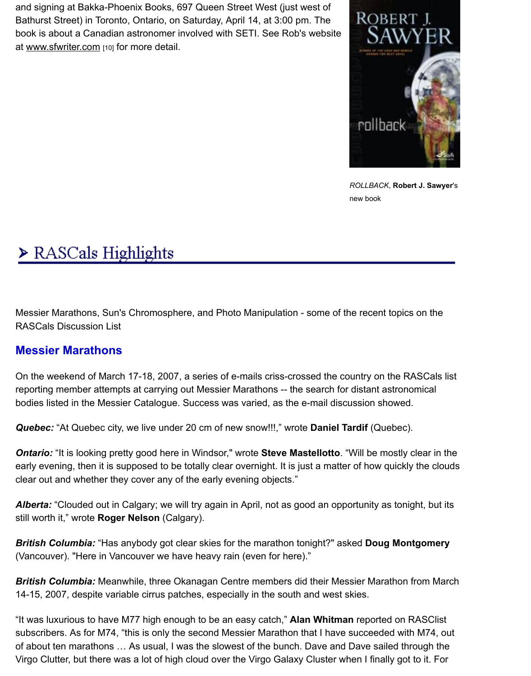

*ROLLBACK*, **Robert J. Sawyer**'s new book

# > RASCals Highlights

Messier Marathons, Sun's Chromosphere, and Photo Manipulation - some of the recent topics on the RASCals Discussion List

#### **Messier Marathons**

On the weekend of March 17-18, 2007, a series of e-mails criss-crossed the country on the RASCals list reporting member attempts at carrying out Messier Marathons -- the search for distant astronomical bodies listed in the Messier Catalogue. Success was varied, as the e-mail discussion showed.

*Quebec:* "At Quebec city, we live under 20 cm of new snow!!!," wrote **Daniel Tardif** (Quebec).

**Ontario:** "It is looking pretty good here in Windsor," wrote **Steve Mastellotto**. "Will be mostly clear in the early evening, then it is supposed to be totally clear overnight. It is just a matter of how quickly the cloud clear out and whether they cover any of the early evening objects."

*Alberta:* "Clouded out in Calgary; we will try again in April, not as good an opportunity as tonight, but its still worth it," wrote **Roger Nelson** (Calgary).

*British Columbia:* "Has anybody got clear skies for the marathon tonight?" asked **Doug Montgomery** (Vancouver). "Here in Vancouver we have heavy rain (even for here)."

**British Columbia:** Meanwhile, three Okanagan Centre members did their Messier Marathon from Marquest 14-15, 2007, despite variable cirrus patches, especially in the south and west skies.

"It was luxurious to have M77 high enough to be an easy catch," **Alan Whitman** reported on RASClist subscribers. As for M74, "this is only the second Messier Marathon that I have succeeded with M74, ou of about ten marathons … As usual, I was the slowest of the bunch. Dave and Dave sailed through the Virgo Clutter, but there was a lot of high cloud over the Virgo Galaxy Cluster when I finally got to it. For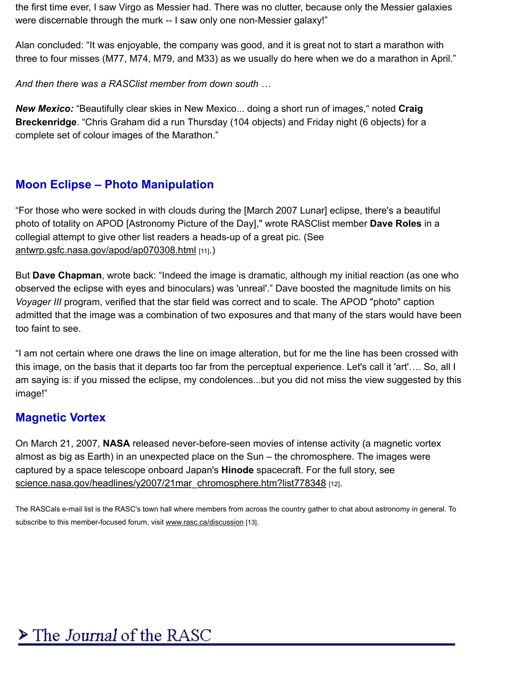*New Mexico:* "Beautifully clear skies in New Mexico... doing a short run of images," noted **Craig Breckenridge**. "Chris Graham did a run Thursday (104 objects) and Friday night (6 objects) for a complete set of colour images of the Marathon."

### **Moon Eclipse – Photo Manipulation**

"For those who were socked in with clouds during the [March 2007 Lunar] eclipse, there's a beautiful photo of totality on APOD [Astronomy Picture of the Day]," wrote RASClist member **Dave Roles** in a collegial attempt to give other list readers a heads-up of a great pic. (See antwrp.gsfc.nasa.gov/apod/ap070308.html [11].)

But **Dave Chapman**, wrote back: "Indeed the image is dramatic, although my initial reaction (as one who observed the eclipse with eyes and binoculars) was 'unreal'." Dave boosted the magnitude limits on his *Voyager III* program, verified that the star field was correct and to scale. The APOD "photo" caption admitted that the image was a combination of two exposures and that many of the stars would have be too faint to see.

"I am not certain where one draws the line on image alteration, but for me the line has been crossed with this image, on the basis that it departs too far from the perceptual experience. Let's call it 'art'…. So, all am saying is: if you missed the eclipse, my condolences...but you did not miss the view suggested by the image!"

### **Magnetic Vortex**

On March 21, 2007, **NASA** released never-before-seen movies of intense activity (a magnetic vortex almost as big as Earth) in an unexpected place on the Sun – the chromosphere. The images were captured by a space telescope onboard Japan's **Hinode** spacecraft. For the full story, see science.nasa.gov/headlines/y2007/21mar\_chromosphere.htm?list778348 [12].

The RASCals e-mail list is the RASC's town hall where members from across the country gather to chat about astronomy in general. T subscribe to this member-focused forum, visit www.rasc.ca/discussion [13].

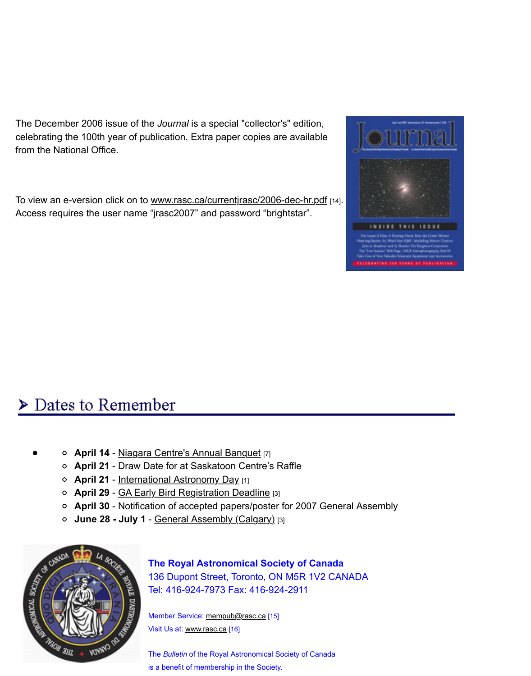The December 2006 issue of the *Journal* is a special "collector's" edition, celebrating the 100th year of publication. Extra paper copies are available from the National Office.

To view an e-version click on to www.rasc.ca/currentjrasc/2006-dec-hr.pdf [14]. Access requires the user name "jrasc2007" and password "brightstar".



## Dates to Remember

- **April 14 Niagara Centre's Annual Banquet [7]** 
	- **April 21** Draw Date for at Saskatoon Centre's Raffle
	- **April 21** International Astronomy Day [1]
	- **April 29** GA Early Bird Registration Deadline [3]
	- **April 30** Notification of accepted papers/poster for 2007 General Assembly
	- **June 28 July 1** General Assembly (Calgary) [3]



**The Royal Astronomical Society of Canada** [136 Dupont Street, To](https://www.rasc.ca/astronomy-day)ronto, ON M5R 1V2 CANADA [Tel: 416-924-7973 Fax: 416-9](http://www.calgary.rasc.ca/ar2007/)24-2911

[Member Service: mempub@rasc.ca](http://www.calgary.rasc.ca/ar2007/) [15] Visit Us at: www.rasc.ca [16]

The *Bulletin* of the Royal Astronomical Society of Canada is a benefit of membership in the Society.